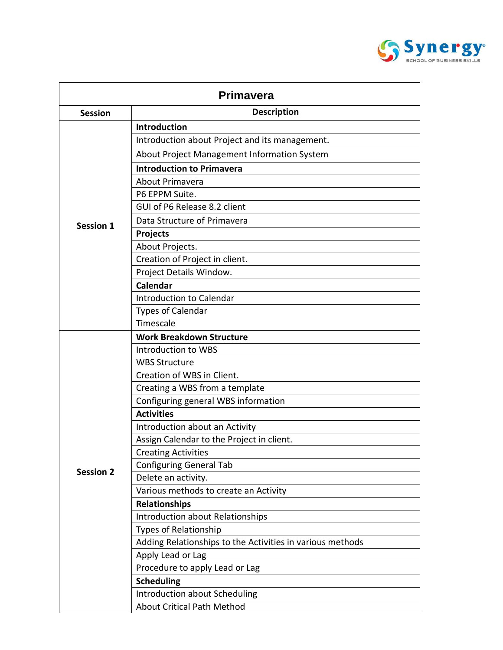

| <b>Primavera</b> |                                                           |  |
|------------------|-----------------------------------------------------------|--|
| <b>Session</b>   | <b>Description</b>                                        |  |
| <b>Session 1</b> | <b>Introduction</b>                                       |  |
|                  | Introduction about Project and its management.            |  |
|                  | About Project Management Information System               |  |
|                  | <b>Introduction to Primavera</b>                          |  |
|                  | About Primavera                                           |  |
|                  | P6 EPPM Suite.                                            |  |
|                  | GUI of P6 Release 8.2 client                              |  |
|                  | Data Structure of Primavera                               |  |
|                  | <b>Projects</b>                                           |  |
|                  | About Projects.                                           |  |
|                  | Creation of Project in client.                            |  |
|                  | Project Details Window.                                   |  |
|                  | <b>Calendar</b>                                           |  |
|                  | Introduction to Calendar                                  |  |
|                  | <b>Types of Calendar</b>                                  |  |
|                  | Timescale                                                 |  |
|                  | <b>Work Breakdown Structure</b>                           |  |
|                  | Introduction to WBS                                       |  |
|                  | <b>WBS Structure</b>                                      |  |
|                  | Creation of WBS in Client.                                |  |
|                  | Creating a WBS from a template                            |  |
|                  | Configuring general WBS information                       |  |
|                  | <b>Activities</b>                                         |  |
|                  | Introduction about an Activity                            |  |
|                  | Assign Calendar to the Project in client.                 |  |
|                  | <b>Creating Activities</b>                                |  |
|                  | <b>Configuring General Tab</b>                            |  |
| <b>Session 2</b> | Delete an activity.                                       |  |
|                  | Various methods to create an Activity                     |  |
|                  | <b>Relationships</b>                                      |  |
|                  | Introduction about Relationships                          |  |
|                  | <b>Types of Relationship</b>                              |  |
|                  | Adding Relationships to the Activities in various methods |  |
|                  | Apply Lead or Lag                                         |  |
|                  | Procedure to apply Lead or Lag                            |  |
|                  | <b>Scheduling</b>                                         |  |
|                  | Introduction about Scheduling                             |  |
|                  | <b>About Critical Path Method</b>                         |  |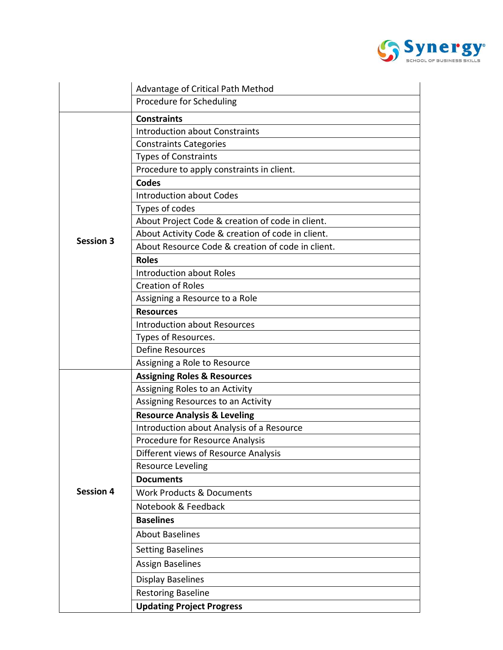

|                  | Advantage of Critical Path Method                 |
|------------------|---------------------------------------------------|
|                  | Procedure for Scheduling                          |
| <b>Session 3</b> | <b>Constraints</b>                                |
|                  | <b>Introduction about Constraints</b>             |
|                  | <b>Constraints Categories</b>                     |
|                  | <b>Types of Constraints</b>                       |
|                  | Procedure to apply constraints in client.         |
|                  | <b>Codes</b>                                      |
|                  | <b>Introduction about Codes</b>                   |
|                  | Types of codes                                    |
|                  | About Project Code & creation of code in client.  |
|                  | About Activity Code & creation of code in client. |
|                  | About Resource Code & creation of code in client. |
|                  | <b>Roles</b>                                      |
|                  | <b>Introduction about Roles</b>                   |
|                  | <b>Creation of Roles</b>                          |
|                  | Assigning a Resource to a Role                    |
|                  | <b>Resources</b>                                  |
|                  | <b>Introduction about Resources</b>               |
|                  | Types of Resources.                               |
|                  | <b>Define Resources</b>                           |
|                  | Assigning a Role to Resource                      |
|                  | <b>Assigning Roles &amp; Resources</b>            |
|                  | Assigning Roles to an Activity                    |
|                  | Assigning Resources to an Activity                |
|                  | <b>Resource Analysis &amp; Leveling</b>           |
|                  | Introduction about Analysis of a Resource         |
|                  | Procedure for Resource Analysis                   |
|                  | Different views of Resource Analysis              |
|                  | <b>Resource Leveling</b>                          |
|                  | <b>Documents</b>                                  |
| <b>Session 4</b> | <b>Work Products &amp; Documents</b>              |
|                  | Notebook & Feedback                               |
|                  | <b>Baselines</b>                                  |
|                  | <b>About Baselines</b>                            |
|                  | <b>Setting Baselines</b>                          |
|                  | <b>Assign Baselines</b>                           |
|                  | <b>Display Baselines</b>                          |
|                  | <b>Restoring Baseline</b>                         |
|                  | <b>Updating Project Progress</b>                  |